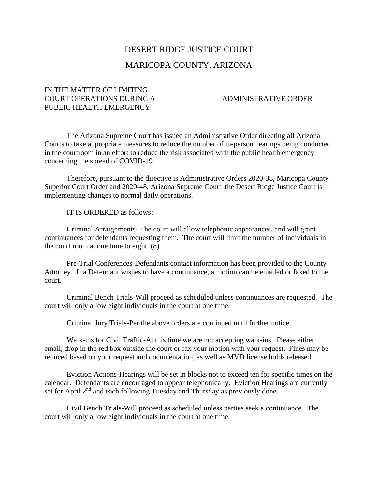## DESERT RIDGE JUSTICE COURT MARICOPA COUNTY, ARIZONA

## IN THE MATTER OF LIMITING COURT OPERATIONS DURING A ADMINISTRATIVE ORDER PUBLIC HEALTH EMERGENCY

The Arizona Supreme Court has issued an Administrative Order directing all Arizona Courts to take appropriate measures to reduce the number of in-person hearings being conducted in the courtroom in an effort to reduce the risk associated with the public health emergency concerning the spread of COVID-19.

Therefore, pursuant to the directive is Administrative Orders 2020-38, Maricopa County Superior Court Order and 2020-48, Arizona Supreme Court the Desert Ridge Justice Court is implementing changes to normal daily operations.

IT IS ORDERED as follows:

Criminal Arraignments- The court will allow telephonic appearances, and will grant continuances for defendants requesting them. The court will limit the number of individuals in the court room at one time to eight. (8)

Pre-Trial Conferences-Defendants contact information has been provided to the County Attorney. If a Defendant wishes to have a continuance, a motion can be emailed or faxed to the court.

Criminal Bench Trials-Will proceed as scheduled unless continuances are requested. The court will only allow eight individuals in the court at one time.

Criminal Jury Trials-Per the above orders are continued until further notice.

Walk-ins for Civil Traffic-At this time we are not accepting walk-ins. Please either email, drop in the red box outside the court or fax your motion with your request. Fines may be reduced based on your request and documentation, as well as MVD license holds released.

Eviction Actions-Hearings will be set in blocks not to exceed ten for specific times on the calendar. Defendants are encouraged to appear telephonically. Eviction Hearings are currently set for April 2<sup>nd</sup> and each following Tuesday and Thursday as previously done.

Civil Bench Trials-Will proceed as scheduled unless parties seek a continuance. The court will only allow eight individuals in the court at one time.